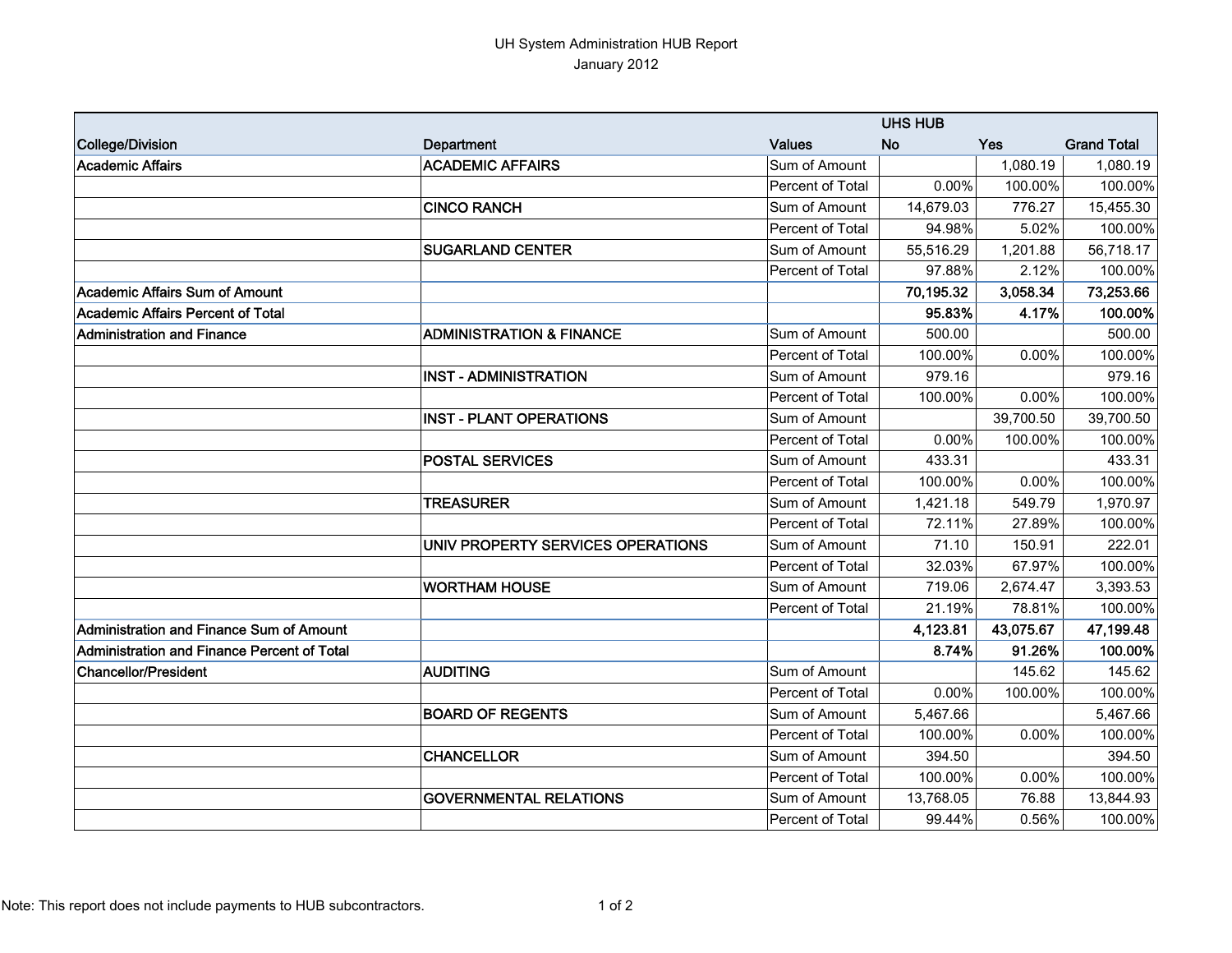## UH System Administration HUB Report January 2012

|                                             |                                     | <b>UHS HUB</b>   |           |           |                    |  |
|---------------------------------------------|-------------------------------------|------------------|-----------|-----------|--------------------|--|
| College/Division                            | Department                          | <b>Values</b>    | <b>No</b> | Yes       | <b>Grand Total</b> |  |
| Academic Affairs                            | <b>ACADEMIC AFFAIRS</b>             | Sum of Amount    |           | 1,080.19  | 1,080.19           |  |
|                                             |                                     | Percent of Total | 0.00%     | 100.00%   | 100.00%            |  |
|                                             | <b>CINCO RANCH</b>                  | Sum of Amount    | 14,679.03 | 776.27    | 15,455.30          |  |
|                                             |                                     | Percent of Total | 94.98%    | 5.02%     | 100.00%            |  |
|                                             | <b>SUGARLAND CENTER</b>             | Sum of Amount    | 55,516.29 | 1,201.88  | 56,718.17          |  |
|                                             |                                     | Percent of Total | 97.88%    | 2.12%     | 100.00%            |  |
| <b>Academic Affairs Sum of Amount</b>       |                                     |                  | 70,195.32 | 3,058.34  | 73,253.66          |  |
| <b>Academic Affairs Percent of Total</b>    |                                     |                  | 95.83%    | 4.17%     | 100.00%            |  |
| <b>Administration and Finance</b>           | <b>ADMINISTRATION &amp; FINANCE</b> | Sum of Amount    | 500.00    |           | 500.00             |  |
|                                             |                                     | Percent of Total | 100.00%   | 0.00%     | 100.00%            |  |
|                                             | <b>INST - ADMINISTRATION</b>        | Sum of Amount    | 979.16    |           | 979.16             |  |
|                                             |                                     | Percent of Total | 100.00%   | 0.00%     | 100.00%            |  |
|                                             | <b>INST - PLANT OPERATIONS</b>      | Sum of Amount    |           | 39,700.50 | 39,700.50          |  |
|                                             |                                     | Percent of Total | 0.00%     | 100.00%   | 100.00%            |  |
|                                             | <b>POSTAL SERVICES</b>              | Sum of Amount    | 433.31    |           | 433.31             |  |
|                                             |                                     | Percent of Total | 100.00%   | 0.00%     | 100.00%            |  |
|                                             | <b>TREASURER</b>                    | Sum of Amount    | 1,421.18  | 549.79    | 1,970.97           |  |
|                                             |                                     | Percent of Total | 72.11%    | 27.89%    | 100.00%            |  |
|                                             | UNIV PROPERTY SERVICES OPERATIONS   | Sum of Amount    | 71.10     | 150.91    | 222.01             |  |
|                                             |                                     | Percent of Total | 32.03%    | 67.97%    | 100.00%            |  |
|                                             | <b>WORTHAM HOUSE</b>                | Sum of Amount    | 719.06    | 2,674.47  | 3,393.53           |  |
|                                             |                                     | Percent of Total | 21.19%    | 78.81%    | 100.00%            |  |
| Administration and Finance Sum of Amount    |                                     |                  | 4,123.81  | 43,075.67 | 47,199.48          |  |
| Administration and Finance Percent of Total |                                     |                  | 8.74%     | 91.26%    | 100.00%            |  |
| <b>Chancellor/President</b>                 | <b>AUDITING</b>                     | Sum of Amount    |           | 145.62    | 145.62             |  |
|                                             |                                     | Percent of Total | 0.00%     | 100.00%   | 100.00%            |  |
|                                             | <b>BOARD OF REGENTS</b>             | Sum of Amount    | 5,467.66  |           | 5,467.66           |  |
|                                             |                                     | Percent of Total | 100.00%   | 0.00%     | 100.00%            |  |
|                                             | <b>CHANCELLOR</b>                   | Sum of Amount    | 394.50    |           | 394.50             |  |
|                                             |                                     | Percent of Total | 100.00%   | 0.00%     | 100.00%            |  |
|                                             | <b>GOVERNMENTAL RELATIONS</b>       | Sum of Amount    | 13,768.05 | 76.88     | 13,844.93          |  |
|                                             |                                     | Percent of Total | 99.44%    | 0.56%     | 100.00%            |  |